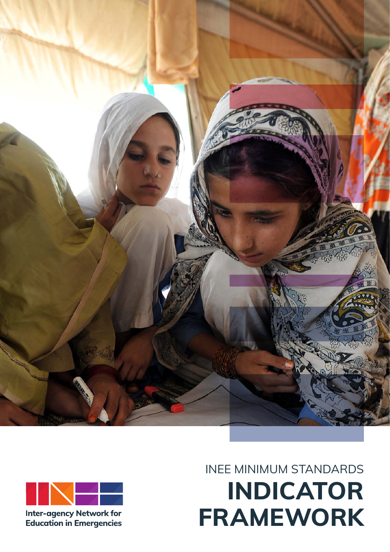



**Inter-agency Network for Education in Emergencies** 

# INEE MINIMUM STANDARDS **INDICATOR FRAMEWORK**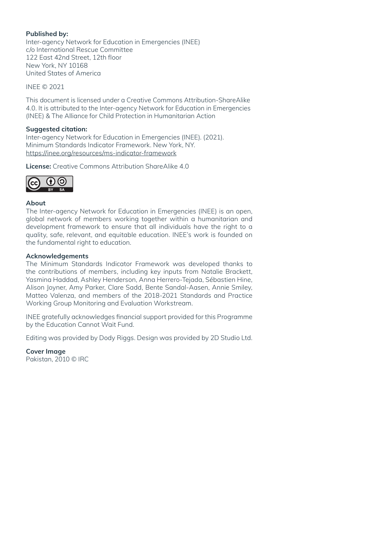#### **Published by:**

Inter-agency Network for Education in Emergencies (INEE) c/o International Rescue Committee 122 East 42nd Street, 12th floor New York, NY 10168 United States of America

INEE © 2021

This document is licensed under a Creative Commons Attribution-ShareAlike 4.0. It is attributed to the Inter-agency Network for Education in Emergencies (INEE) & The Alliance for Child Protection in Humanitarian Action

#### **Suggested citation:**

Inter-agency Network for Education in Emergencies (INEE). (2021). Minimum Standards Indicator Framework. New York, NY. https://inee.org/resources/ms-indicator-framework

**License:** Creative Commons Attribution ShareAlike 4.0



#### **About**

The Inter-agency Network for Education in Emergencies (INEE) is an open, global network of members working together within a humanitarian and development framework to ensure that all individuals have the right to a quality, safe, relevant, and equitable education. INEE's work is founded on the fundamental right to education.

#### **Acknowledgements**

The Minimum Standards Indicator Framework was developed thanks to the contributions of members, including key inputs from Natalie Brackett, Yasmina Haddad, Ashley Henderson, Anna Herrero-Tejada, Sébastien Hine, Alison Joyner, Amy Parker, Clare Sadd, Bente Sandal-Aasen, Annie Smiley, Matteo Valenza, and members of the 2018-2021 Standards and Practice Working Group Monitoring and Evaluation Workstream.

INEE gratefully acknowledges financial support provided for this Programme by the Education Cannot Wait Fund.

Editing was provided by Dody Riggs. Design was provided by 2D Studio Ltd.

**Cover Image**

Pakistan, 2010 © IRC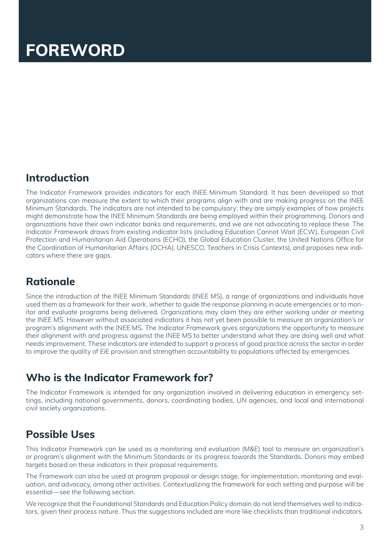# **FOREWORD**

## **Introduction**

The Indicator Framework provides indicators for each INEE Minimum Standard. It has been developed so that organizations can measure the extent to which their programs align with and are making progress on the INEE Minimum Standards. The indicators are not intended to be compulsory; they are simply examples of how projects might demonstrate how the INEE Minimum Standards are being employed within their programming. Donors and organizations have their own indicator banks and requirements, and we are not advocating to replace these. The Indicator Framework draws from existing indicator lists (including Education Cannot Wait (ECW), European Civil Protection and Humanitarian Aid Operations (ECHO), the Global Education Cluster, the United Nations Office for the Coordination of Humanitarian Affairs (OCHA), UNESCO, Teachers in Crisis Contexts), and proposes new indicators where there are gaps.

## **Rationale**

Since the introduction of the INEE Minimum Standards (INEE MS), a range of organizations and individuals have used them as a framework for their work, whether to guide the response planning in acute emergencies or to monitor and evaluate programs being delivered. Organizations may claim they are either working under or meeting the INEE MS. However without associated indicators it has not yet been possible to measure an organization's or program's alignment with the INEE MS. The Indicator Framework gives organizations the opportunity to measure their alignment with and progress against the INEE MS to better understand what they are doing well and what needs improvement. These indicators are intended to support a process of good practice across the sector in order to improve the quality of EiE provision and strengthen accountability to populations affected by emergencies.

# **Who is the Indicator Framework for?**

The Indicator Framework is intended for any organization involved in delivering education in emergency settings, including national governments, donors, coordinating bodies, UN agencies, and local and international civil society organizations.

## **Possible Uses**

This Indicator Framework can be used as a monitoring and evaluation (M&E) tool to measure an organization's or program's alignment with the Minimum Standards or its progress towards the Standards. Donors may embed targets based on these indicators in their proposal requirements.

The Framework can also be used at program proposal or design stage, for implementation, monitoring and evaluation, and advocacy, among other activities. Contextualizing the framework for each setting and purpose will be essential—see the following section.

We recognize that the Foundational Standards and Education Policy domain do not lend themselves well to indicators, given their process nature. Thus the suggestions included are more like checklists than traditional indicators.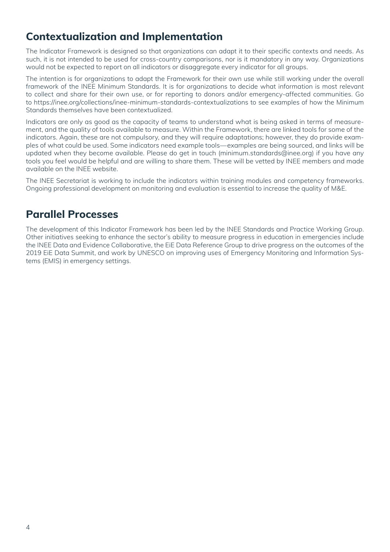# **Contextualization and Implementation**

The Indicator Framework is designed so that organizations can adapt it to their specific contexts and needs. As such, it is not intended to be used for cross-country comparisons, nor is it mandatory in any way. Organizations would not be expected to report on all indicators or disaggregate every indicator for all groups.

The intention is for organizations to adapt the Framework for their own use while still working under the overall framework of the INEE Minimum Standards. It is for organizations to decide what information is most relevant to collect and share for their own use, or for reporting to donors and/or emergency-affected communities. Go to https://inee.org/collections/inee-minimum-standards-contextualizations to see examples of how the Minimum Standards themselves have been contextualized.

Indicators are only as good as the capacity of teams to understand what is being asked in terms of measurement, and the quality of tools available to measure. Within the Framework, there are linked tools for some of the indicators. Again, these are not compulsory, and they will require adaptations; however, they do provide examples of what could be used. Some indicators need example tools—examples are being sourced, and links will be updated when they become available. Please do get in touch (minimum.standards@inee.org) if you have any tools you feel would be helpful and are willing to share them. These will be vetted by INEE members and made available on the INEE website.

The INEE Secretariat is working to include the indicators within training modules and competency frameworks. Ongoing professional development on monitoring and evaluation is essential to increase the quality of M&E.

## **Parallel Processes**

The development of this Indicator Framework has been led by the INEE Standards and Practice Working Group. Other initiatives seeking to enhance the sector's ability to measure progress in education in emergencies include the INEE Data and Evidence Collaborative, the EiE Data Reference Group to drive progress on the outcomes of the 2019 EiE Data Summit, and work by UNESCO on improving uses of Emergency Monitoring and Information Systems (EMIS) in emergency settings.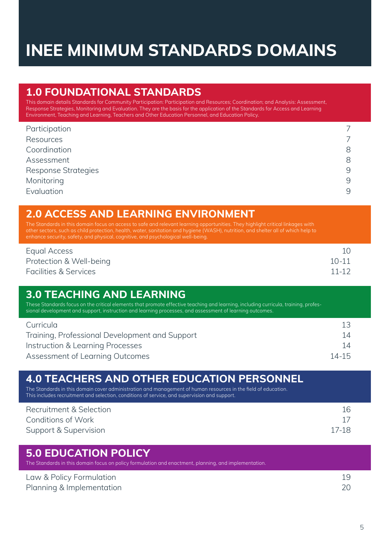# **INEE MINIMUM STANDARDS DOMAINS**

## **1.0 FOUNDATIONAL STANDARDS**

This domain details Standards for Community Participation: Participation and Resources; Coordination; and Analysis: Assessment, Response Strategies, Monitoring and Evaluation. They are the basis for the application of the Standards for Access and Learning Environment, Teaching and Learning, Teachers and Other Education Personnel, and Education Policy.

| Participation              |   |
|----------------------------|---|
| Resources                  |   |
| Coordination               | 8 |
| Assessment                 | 8 |
| <b>Response Strategies</b> | 9 |
| Monitoring                 | 9 |
| Evaluation                 | 9 |

## **2.0 ACCESS AND LEARNING ENVIRONMENT**

The Standards in this domain focus on access to safe and relevant learning opportunities. They highlight critical linkages with other sectors, such as child protection, health, water, sanitation and hygiene (WASH), nutrition, and shelter all of which help to

| Equal Access                     |           |
|----------------------------------|-----------|
| Protection & Well-being          | $10 - 11$ |
| <b>Facilities &amp; Services</b> | $11 - 12$ |

## **3.0 TEACHING AND LEARNING**

These Standards focus on the critical elements that promote effective teaching and learning, including curricula, training, professional development and support, instruction and learning processes, and assessment of learning outcomes.

| Curricula                                      |           |
|------------------------------------------------|-----------|
| Training, Professional Development and Support | 14        |
| Instruction & Learning Processes               | 14        |
| Assessment of Learning Outcomes                | $14 - 15$ |

| <b>4.0 TEACHERS AND OTHER EDUCATION PERSONNEL</b><br>The Standards in this domain cover administration and management of human resources in the field of education.<br>This includes recruitment and selection, conditions of service, and supervision and support. |                     |  |
|---------------------------------------------------------------------------------------------------------------------------------------------------------------------------------------------------------------------------------------------------------------------|---------------------|--|
| Recruitment & Selection<br><b>Conditions of Work</b><br>Support & Supervision                                                                                                                                                                                       | 16<br>17<br>$17-18$ |  |
| <b>5.0 EDUCATION POLICY</b><br>The Standards in this domain focus on policy formulation and enactment, planning, and implementation.                                                                                                                                |                     |  |

Law & Policy Formulation 19 Planning & Implementation 20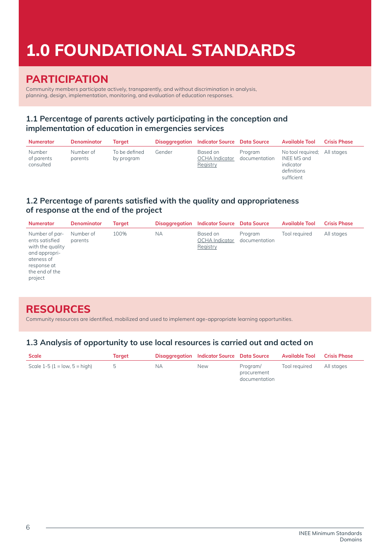# **1.0 FOUNDATIONAL STANDARDS**

## **PARTICIPATION**

Community members participate actively, transparently, and without discrimination in analysis, planning, design, implementation, monitoring, and evaluation of education responses.

### **1.1 Percentage of parents actively participating in the conception and implementation of education in emergencies services**

| <b>Numerator</b>                  | <b>Denominator</b>   | Taraet                      |        | <b>Disaggregation</b> Indicator Source Data Source |                          | <b>Available Tool</b>                                                                 | <b>Crisis Phase</b> |
|-----------------------------------|----------------------|-----------------------------|--------|----------------------------------------------------|--------------------------|---------------------------------------------------------------------------------------|---------------------|
| Number<br>of parents<br>consulted | Number of<br>parents | To be defined<br>by program | Gender | Based on<br>OCHA Indicator<br>Registry             | Program<br>documentation | No tool required: All stages<br>INEE MS and<br>indicator<br>definitions<br>sufficient |                     |

### **1.2 Percentage of parents satisfied with the quality and appropriateness of response at the end of the project**

| <b>Numerator</b>                                                                                                                | <b>Denominator</b>   | Target |           | <b>Disaggregation</b> Indicator Source Data Source |                          | <b>Available Tool</b> | <b>Crisis Phase</b> |
|---------------------------------------------------------------------------------------------------------------------------------|----------------------|--------|-----------|----------------------------------------------------|--------------------------|-----------------------|---------------------|
| Number of par-<br>ents satisfied<br>with the quality<br>and appropri-<br>ateness of<br>response at<br>the end of the<br>project | Number of<br>parents | 100%   | <b>NA</b> | Based on<br><b>OCHA</b> Indicator<br>Registry      | Program<br>documentation | Tool required         | All stages          |

## **RESOURCES**

Community resources are identified, mobilized and used to implement age-appropriate learning opportunities.

### **1.3 Analysis of opportunity to use local resources is carried out and acted on**

| <b>Scale</b>                    | Taraet |    | <b>Disaggregation</b> Indicator Source Data Source |                                          | Available Tool Crisis Phase |            |
|---------------------------------|--------|----|----------------------------------------------------|------------------------------------------|-----------------------------|------------|
| Scale $1-5$ (1 = low, 5 = high) | - 5    | ΝA | <b>New</b>                                         | Program/<br>procurement<br>documentation | Tool reauired               | All stages |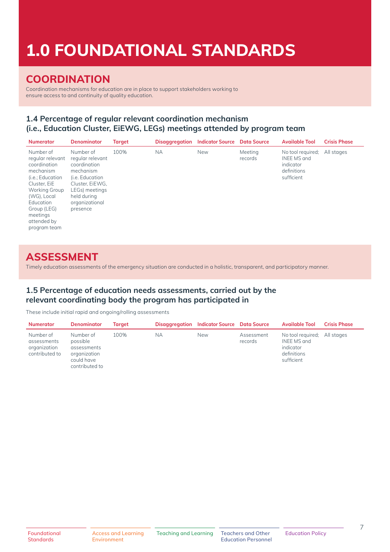# **1.0 FOUNDATIONAL STANDARDS**

## **COORDINATION**

Coordination mechanisms for education are in place to support stakeholders working to ensure access to and continuity of quality education.

### **1.4 Percentage of regular relevant coordination mechanism (i.e., Education Cluster, EiEWG, LEGs) meetings attended by program team**

| <b>Numerator</b>                                                                                                                                                                                      | <b>Denominator</b>                                                                                                                                              | <b>Target</b> | Disaggregation | <b>Indicator Source</b> | <b>Data Source</b> | <b>Available Tool</b>                                                      | <b>Crisis Phase</b> |
|-------------------------------------------------------------------------------------------------------------------------------------------------------------------------------------------------------|-----------------------------------------------------------------------------------------------------------------------------------------------------------------|---------------|----------------|-------------------------|--------------------|----------------------------------------------------------------------------|---------------------|
| Number of<br>regular relevant<br>coordination<br>mechanism<br>(i.e.; Education<br>Cluster, EiE<br>Working Group<br>(WG), Local<br>Education<br>Group (LEG)<br>meetings<br>attended by<br>program team | Number of<br>regular relevant<br>coordination<br>mechanism<br>(i.e. Education<br>Cluster, EiEWG.<br>LEGs) meetings<br>held during<br>organizational<br>presence | 100%          | <b>NA</b>      | <b>New</b>              | Meeting<br>records | No tool required;<br>INEE MS and<br>indicator<br>definitions<br>sufficient | All stages          |

## **ASSESSMENT**

Timely education assessments of the emergency situation are conducted in a holistic, transparent, and participatory manner.

#### **1.5 Percentage of education needs assessments, carried out by the relevant coordinating body the program has participated in**

These include initial rapid and ongoing/rolling assessments

| <b>Numerator</b>                                           | <b>Denominator</b>                                                                   | Taraet |    | <b>Disaggregation</b> Indicator Source Data Source |                       | Available Tool                                                                        | <b>Crisis Phase</b> |
|------------------------------------------------------------|--------------------------------------------------------------------------------------|--------|----|----------------------------------------------------|-----------------------|---------------------------------------------------------------------------------------|---------------------|
| Number of<br>assessments<br>organization<br>contributed to | Number of<br>possible<br>assessments<br>organization<br>could have<br>contributed to | 100%   | NА | <b>New</b>                                         | Assessment<br>records | No tool required: All stages<br>INEE MS and<br>indicator<br>definitions<br>sufficient |                     |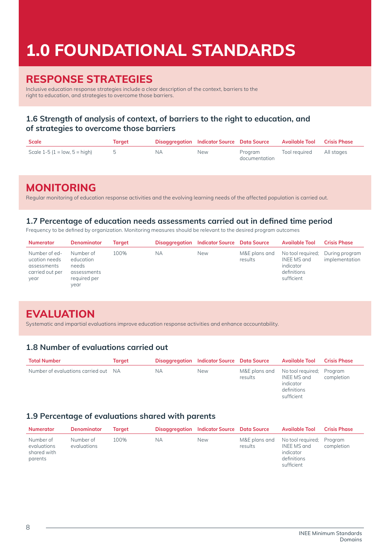# **1.0 FOUNDATIONAL STANDARDS**

## **RESPONSE STRATEGIES**

Inclusive education response strategies include a clear description of the context, barriers to the right to education, and strategies to overcome those barriers.

### **1.6 Strength of analysis of context, of barriers to the right to education, and of strategies to overcome those barriers**

| Scale                           | Taraet | Disaggregation Indicator Source Data Source |            |                          | Available Tool Crisis Phase |  |
|---------------------------------|--------|---------------------------------------------|------------|--------------------------|-----------------------------|--|
| Scale $1-5$ (1 = low, 5 = high) |        | ΝA                                          | <b>New</b> | Program<br>documentation | Tool required All stages    |  |

## **MONITORING**

Regular monitoring of education response activities and the evolving learning needs of the affected population is carried out.

#### **1.7 Percentage of education needs assessments carried out in defined time period**

Frequency to be defined by organization. Monitoring measures should be relevant to the desired program outcomes

| Numerator                                                                | <b>Denominator</b>                                                     | Taraet |    | Disaggregation Indicator Source Data Source |                          | <b>Available Tool</b>                                                                     | <b>Crisis Phase</b> |
|--------------------------------------------------------------------------|------------------------------------------------------------------------|--------|----|---------------------------------------------|--------------------------|-------------------------------------------------------------------------------------------|---------------------|
| Number of ed-<br>ucation needs<br>assessments<br>carried out per<br>year | Number of<br>education<br>needs<br>assessments<br>required per<br>vear | 100%   | ΝA | <b>New</b>                                  | M&E plans and<br>results | No tool required; During program<br>INEE MS and<br>indicator<br>definitions<br>sufficient | implementation      |

## **EVALUATION**

Systematic and impartial evaluations improve education response activities and enhance accountability.

### **1.8 Number of evaluations carried out**

| <b>Total Number</b>                  | Target |     | <b>Disaggregation</b> Indicator Source Data Source |         | Available Tool                                                                                   | <b>Crisis Phase</b> |
|--------------------------------------|--------|-----|----------------------------------------------------|---------|--------------------------------------------------------------------------------------------------|---------------------|
| Number of evaluations carried out NA |        | NA. | <b>New</b>                                         | results | M&E plans and No tool required; Program<br>INEE MS and<br>indicator<br>definitions<br>sufficient | completion          |

### **1.9 Percentage of evaluations shared with parents**

| Numerator                                          | <b>Denominator</b>       | Taraet |    | Disaggregation Indicator Source Data Source |                          | <b>Available Tool</b>                                                              | <b>Crisis Phase</b> |
|----------------------------------------------------|--------------------------|--------|----|---------------------------------------------|--------------------------|------------------------------------------------------------------------------------|---------------------|
| Number of<br>evaluations<br>shared with<br>parents | Number of<br>evaluations | 100%   | ΝA | <b>New</b>                                  | M&E plans and<br>results | No tool required: Program<br>INEE MS and<br>indicator<br>definitions<br>sufficient | completion          |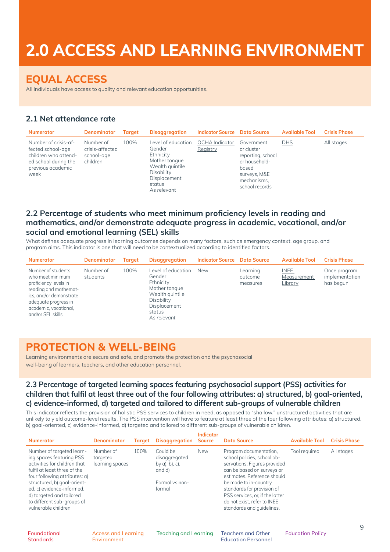# **2.0 ACCESS AND LEARNING ENVIRONMENT**

## **EQUAL ACCESS**

All individuals have access to quality and relevant education opportunities.

### **2.1 Net attendance rate**

| <b>Numerator</b>                                                                                                       | <b>Denominator</b>                                     | <b>Taraet</b> | <b>Disaggregation</b>                                                                                                                | <b>Indicator Source</b> Data Source |                                                                                                                          | <b>Available Tool</b> | <b>Crisis Phase</b> |
|------------------------------------------------------------------------------------------------------------------------|--------------------------------------------------------|---------------|--------------------------------------------------------------------------------------------------------------------------------------|-------------------------------------|--------------------------------------------------------------------------------------------------------------------------|-----------------------|---------------------|
| Number of crisis-af-<br>fected school-age<br>children who attend-<br>ed school during the<br>previous academic<br>week | Number of<br>crisis-affected<br>school-age<br>children | 100%          | Level of education<br>Gender<br>Ethnicity<br>Mother tonque<br>Wealth quintile<br>Disability<br>Displacement<br>status<br>As relevant | OCHA Indicator<br>Registry          | Government<br>or cluster<br>reporting, school<br>or household-<br>based<br>surveys, M&E<br>mechanisms,<br>school records | <b>DHS</b>            | All stages          |

### **2.2 Percentage of students who meet minimum proficiency levels in reading and mathematics, and/or demonstrate adequate progress in academic, vocational, and/or social and emotional learning (SEL) skills**

What defines adequate progress in learning outcomes depends on many factors, such as emergency context, age group, and program aims. This indicator is one that will need to be contextualized according to identified factors.

| <b>Numerator</b>                                                                                                                                                                          | <b>Denominator</b>    | <b>Target</b> | <b>Disaggregation</b>                                                                                                                | <b>Indicator Source Data Source</b> |                                 | <b>Available Tool</b>                        | <b>Crisis Phase</b>                         |
|-------------------------------------------------------------------------------------------------------------------------------------------------------------------------------------------|-----------------------|---------------|--------------------------------------------------------------------------------------------------------------------------------------|-------------------------------------|---------------------------------|----------------------------------------------|---------------------------------------------|
| Number of students<br>who meet minimum<br>proficiency levels in<br>reading and mathemat-<br>ics, and/or demonstrate<br>adequate progress in<br>academic, vocational,<br>and/or SEL skills | Number of<br>students | 100%          | Level of education<br>Gender<br>Ethnicity<br>Mother tonque<br>Wealth quintile<br>Disability<br>Displacement<br>status<br>As relevant | New                                 | Learning<br>outcome<br>measures | <b>INEE</b><br>Measurement<br><u>Library</u> | Once program<br>implementation<br>has begun |

## **PROTECTION & WELL-BEING**

Learning environments are secure and safe, and promote the protection and the psychosocial well-being of learners, teachers, and other education personnel.

#### **2.3 Percentage of targeted learning spaces featuring psychosocial support (PSS) activities for children that fulfil at least three out of the four following attributes: a) structured, b) goal-oriented, c) evidence-informed, d) targeted and tailored to different sub-groups of vulnerable children**

This indicator reflects the provision of holistic PSS services to children in need, as opposed to "shallow," unstructured activities that are unlikely to yield outcome-level results. The PSS intervention will have to feature at least three of the four following attributes: a) structured, b) goal-oriented, c) evidence-informed, d) targeted and tailored to different sub-groups of vulnerable children.

| <b>Numerator</b>                                                                                                                                                                                                                                                                                    | <b>Denominator</b>                        | <b>Target</b> | <b>Disaggregation</b>                                                                      | <b>Indicator</b><br><b>Source</b> | <b>Data Source</b>                                                                                                                                                                                                                                                                                       | <b>Available Tool</b>   | <b>Crisis Phase</b> |
|-----------------------------------------------------------------------------------------------------------------------------------------------------------------------------------------------------------------------------------------------------------------------------------------------------|-------------------------------------------|---------------|--------------------------------------------------------------------------------------------|-----------------------------------|----------------------------------------------------------------------------------------------------------------------------------------------------------------------------------------------------------------------------------------------------------------------------------------------------------|-------------------------|---------------------|
| Number of targeted learn-<br>ing spaces featuring PSS<br>activities for children that<br>fulfil at least three of the<br>four following attributes: a)<br>structured, b) goal-orient-<br>ed, c) evidence-informed,<br>d) targeted and tailored<br>to different sub-groups of<br>vulnerable children | Number of<br>targeted<br>learning spaces  | 100%          | Could be<br>disaggregated<br>by $a)$ , $b)$ , $c)$ ,<br>and d)<br>Formal vs non-<br>formal | <b>New</b>                        | Program documentation,<br>school policies, school ob-<br>servations. Figures provided<br>can be based on surveys or<br>estimates. Reference should<br>be made to in-country<br>standards for provision of<br>PSS services, or, if the latter<br>do not exist, refer to INEE<br>standards and quidelines. | Tool required           | All stages          |
| Foundational<br><b>Standards</b>                                                                                                                                                                                                                                                                    | <b>Access and Learning</b><br>Environment |               | Teaching and Learning                                                                      |                                   | <b>Teachers and Other</b><br><b>Education Personnel</b>                                                                                                                                                                                                                                                  | <b>Education Policy</b> | 9                   |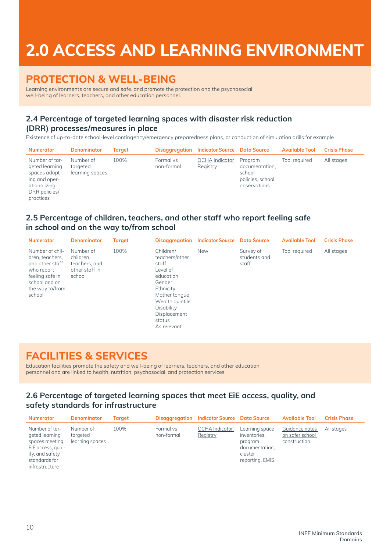# **2.0 ACCESS AND LEARNING ENVIRONMENT**

## **PROTECTION & WELL-BEING**

Learning environments are secure and safe, and promote the protection and the psychosocial well-being of learners, teachers, and other education personnel.

### **2.4 Percentage of targeted learning spaces with disaster risk reduction (DRR) processes/measures in place**

Existence of up-to-date school-level contingency/emergency preparedness plans, or conduction of simulation drills for example

| <b>Numerator</b>                                                                                                 | <b>Denominator</b>                       | <b>Taraet</b> |                         | Disaggregation Indicator Source Data Source |                                                                         | <b>Available Tool</b> | <b>Crisis Phase</b> |
|------------------------------------------------------------------------------------------------------------------|------------------------------------------|---------------|-------------------------|---------------------------------------------|-------------------------------------------------------------------------|-----------------------|---------------------|
| Number of tar-<br>geted learning<br>spaces adopt-<br>ing and oper-<br>ationalizing<br>DRR policies/<br>practices | Number of<br>targeted<br>learning spaces | 100%          | Formal vs<br>non-formal | <b>OCHA</b> Indicator<br>Registry           | Program<br>documentation,<br>school<br>policies, school<br>observations | Tool required         | All stages          |

#### **2.5 Percentage of children, teachers, and other staff who report feeling safe in school and on the way to/from school**

| <b>Numerator</b>                                                                                                                     | <b>Denominator</b>                                                  | <b>Target</b> |                                                                                                                                                                                 | <b>Disaggregation</b> Indicator Source | <b>Data Source</b>                 | <b>Available Tool</b> | <b>Crisis Phase</b> |  |
|--------------------------------------------------------------------------------------------------------------------------------------|---------------------------------------------------------------------|---------------|---------------------------------------------------------------------------------------------------------------------------------------------------------------------------------|----------------------------------------|------------------------------------|-----------------------|---------------------|--|
| Number of chil-<br>dren, teachers,<br>and other staff<br>who report<br>feeling safe in<br>school and on<br>the way to/from<br>school | Number of<br>children.<br>teachers, and<br>other staff in<br>school | 100%          | Children/<br>teachers/other<br>staff<br>Level of<br>education<br>Gender<br>Ethnicity<br>Mother tonque<br>Wealth quintile<br>Disability<br>Displacement<br>status<br>As relevant | <b>New</b>                             | Survey of<br>students and<br>staff | Tool required         | All stages          |  |

## **FACILITIES & SERVICES**

Education facilities promote the safety and well-being of learners, teachers, and other education personnel and are linked to health, nutrition, psychosocial, and protection services

### **2.6 Percentage of targeted learning spaces that meet EiE access, quality, and safety standards for infrastructure**

| <b>Numerator</b>                                                                                                              | <b>Denominator</b>                       | Taraet |                         | <b>Disaggregation</b> Indicator Source Data Source |                                                                                           | <b>Available Tool</b>                             | <b>Crisis Phase</b> |
|-------------------------------------------------------------------------------------------------------------------------------|------------------------------------------|--------|-------------------------|----------------------------------------------------|-------------------------------------------------------------------------------------------|---------------------------------------------------|---------------------|
| Number of tar-<br>geted learning<br>spaces meeting<br>EiE access, qual-<br>ity, and safety<br>standards for<br>infrastructure | Number of<br>targeted<br>learning spaces | 100%   | Formal vs<br>non-formal | <b>OCHA</b> Indicator<br>Registry                  | Learning space<br>inventories,<br>program<br>documentation.<br>cluster<br>reporting, EMIS | Guidance notes<br>on safer school<br>construction | All stages          |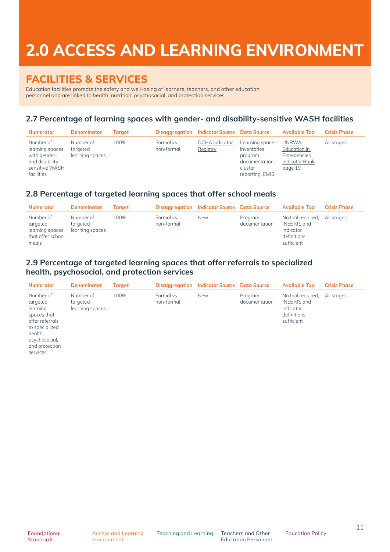# **2.0 ACCESS AND LEARNING ENVIRONMENT**

## **FACILITIES & SERVICES**

Education facilities promote the safety and well-being of learners, teachers, and other education personnel and are linked to health, nutrition, psychosocial, and protection services

## **2.7 Percentage of learning spaces with gender- and disability-sensitive WASH facilities**

| <b>Numerator</b>                                                                                | <b>Denominator</b>                       | Taraet |                         | Disaggregation Indicator Source Data Source |                                                                                           | <b>Available Tool</b>                                                            | <b>Crisis Phase</b> |
|-------------------------------------------------------------------------------------------------|------------------------------------------|--------|-------------------------|---------------------------------------------|-------------------------------------------------------------------------------------------|----------------------------------------------------------------------------------|---------------------|
| Number of<br>learning spaces<br>with gender-<br>and disability-<br>sensitive WASH<br>facilities | Number of<br>targeted<br>learning spaces | 100%   | Formal vs<br>non-formal | <b>OCHA</b> Indicator<br>Registry           | Learning space<br>inventories,<br>program<br>documentation,<br>cluster<br>reporting, EMIS | <b>UNRWA</b><br>Education in<br><b>Emergencies</b><br>Indicator Bank,<br>page 19 | All stages          |

### **2.8 Percentage of targeted learning spaces that offer school meals**

| <b>Numerator</b>                                                       | <b>Denominator</b>                       | Taraet |                         | <b>Disaggregation</b> Indicator Source Data Source |                          | Available Tool                                                             | <b>Crisis Phase</b> |
|------------------------------------------------------------------------|------------------------------------------|--------|-------------------------|----------------------------------------------------|--------------------------|----------------------------------------------------------------------------|---------------------|
| Number of<br>targeted<br>learning spaces<br>that offer school<br>meals | Number of<br>targeted<br>learning spaces | 100%   | Formal vs<br>non-formal | <b>New</b>                                         | Program<br>documentation | No tool required;<br>INEE MS and<br>indicator<br>definitions<br>sufficient | All stages          |

### **2.9 Percentage of targeted learning spaces that offer referrals to specialized health, psychosocial, and protection services**

| <b>Numerator</b>                                                                                                                                | <b>Denominator</b>                       | Target |                         | <b>Disaggregation</b> Indicator Source Data Source |                          | <b>Available Tool</b>                                                      | <b>Crisis Phase</b> |
|-------------------------------------------------------------------------------------------------------------------------------------------------|------------------------------------------|--------|-------------------------|----------------------------------------------------|--------------------------|----------------------------------------------------------------------------|---------------------|
| Number of<br>targeted<br>learning<br>spaces that<br>offer referrals<br>to specialized<br>health,<br>psychosocial,<br>and protection<br>services | Number of<br>targeted<br>learning spaces | 100%   | Formal vs<br>non-formal | <b>New</b>                                         | Program<br>documentation | No tool required;<br>INEE MS and<br>indicator<br>definitions<br>sufficient | All stages          |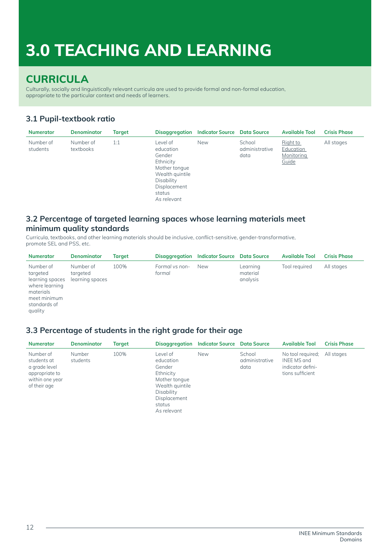## **CURRICULA**

Culturally, socially and linguistically relevant curricula are used to provide formal and non-formal education, appropriate to the particular context and needs of learners.

### **3.1 Pupil-textbook ratio**

| <b>Numerator</b>      | <b>Denominator</b>     | Target |                                                                                                                                         | <b>Disaggregation</b> Indicator Source Data Source |                                  | <b>Available Tool</b>                        | <b>Crisis Phase</b> |
|-----------------------|------------------------|--------|-----------------------------------------------------------------------------------------------------------------------------------------|----------------------------------------------------|----------------------------------|----------------------------------------------|---------------------|
| Number of<br>students | Number of<br>textbooks | 1:1    | Level of<br>education<br>Gender<br>Ethnicity<br>Mother tongue<br>Wealth quintile<br>Disability<br>Displacement<br>status<br>As relevant | <b>New</b>                                         | School<br>administrative<br>data | Right to<br>Education<br>Monitoring<br>Guide | All stages          |

#### **3.2 Percentage of targeted learning spaces whose learning materials meet minimum quality standards**

Curricula, textbooks, and other learning materials should be inclusive, conflict-sensitive, gender-transformative, promote SEL and PSS, etc.

| <b>Numerator</b>                                                                                                   | <b>Denominator</b>                       | <b>Target</b> | Disaggregation           | <b>Indicator Source</b> Data Source |                                  | <b>Available Tool</b> | <b>Crisis Phase</b> |
|--------------------------------------------------------------------------------------------------------------------|------------------------------------------|---------------|--------------------------|-------------------------------------|----------------------------------|-----------------------|---------------------|
| Number of<br>targeted<br>learning spaces<br>where learning<br>materials<br>meet minimum<br>standards of<br>quality | Number of<br>targeted<br>learning spaces | 100%          | Formal vs non-<br>formal | <b>New</b>                          | Learning<br>material<br>analysis | Tool required         | All stages          |

### **3.3 Percentage of students in the right grade for their age**

| <b>Numerator</b>                                                                               | <b>Denominator</b> | Target |                                                                                                                                         | Disaggregation Indicator Source Data Source |                                  | <b>Available Tool</b>                                                     | <b>Crisis Phase</b> |
|------------------------------------------------------------------------------------------------|--------------------|--------|-----------------------------------------------------------------------------------------------------------------------------------------|---------------------------------------------|----------------------------------|---------------------------------------------------------------------------|---------------------|
| Number of<br>students at<br>a grade level<br>appropriate to<br>within one year<br>of their age | Number<br>students | 100%   | Level of<br>education<br>Gender<br>Ethnicity<br>Mother tonque<br>Wealth quintile<br>Disability<br>Displacement<br>status<br>As relevant | <b>New</b>                                  | School<br>administrative<br>data | No tool required;<br>INEE MS and<br>indicator defini-<br>tions sufficient | All stages          |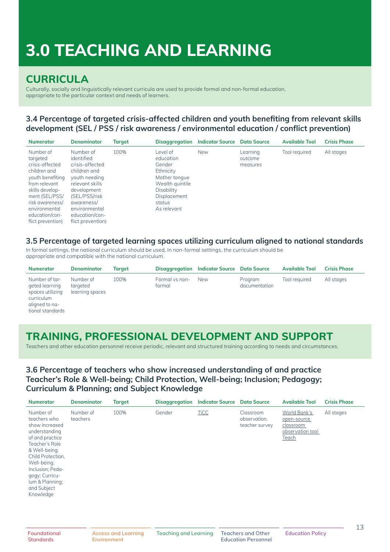## **CURRICULA**

Culturally, socially and linguistically relevant curricula are used to provide formal and non-formal education, appropriate to the particular context and needs of learners.

### **3.4 Percentage of targeted crisis-affected children and youth benefiting from relevant skills development (SEL / PSS / risk awareness / environmental education / conflict prevention)**

| <b>Numerator</b>                                                                                                                                                                                              | Denominator                                                                                                                                                                                          | Target | Disaggregation                                                                                                                          | <b>Indicator Source</b> | <b>Data Source</b>              | <b>Available Tool</b> | <b>Crisis Phase</b> |
|---------------------------------------------------------------------------------------------------------------------------------------------------------------------------------------------------------------|------------------------------------------------------------------------------------------------------------------------------------------------------------------------------------------------------|--------|-----------------------------------------------------------------------------------------------------------------------------------------|-------------------------|---------------------------------|-----------------------|---------------------|
| Number of<br>targeted<br>crisis-affected<br>children and<br>youth benefiting<br>from relevant<br>skills develop-<br>ment (SEL/PSS/<br>risk awareness/<br>environmental<br>education/con-<br>flict prevention) | Number of<br>identified<br>crisis-offected<br>children and<br>youth needing<br>relevant skills<br>development<br>(SEL/PSS/risk<br>awareness/<br>environmental<br>education/con-<br>flict prevention) | 100%   | Level of<br>education<br>Gender<br>Ethnicity<br>Mother tonque<br>Wealth quintile<br>Disability<br>Displacement<br>status<br>As relevant | <b>New</b>              | Learning<br>outcome<br>measures | Tool required         | All stages          |

#### **3.5 Percentage of targeted learning spaces utilizing curriculum aligned to national standards**

In formal settings, the national curriculum should be used. In non-formal settings, the curriculum should be appropriate and compatible with the national curriculum.

| <b>Numerator</b>                                                                                         | <b>Denominator</b>                       | Taraet |                          | Disaggregation Indicator Source Data Source |                          | <b>Available Tool</b> | <b>Crisis Phase</b> |
|----------------------------------------------------------------------------------------------------------|------------------------------------------|--------|--------------------------|---------------------------------------------|--------------------------|-----------------------|---------------------|
| Number of tar-<br>geted learning<br>spaces utilizing<br>curriculum<br>aligned to na-<br>tional standards | Number of<br>taraeted<br>learning spaces | 100%   | Formal vs non-<br>formal | <b>New</b>                                  | Program<br>documentation | Tool required         | All stages          |

## **TRAINING, PROFESSIONAL DEVELOPMENT AND SUPPORT**

Teachers and other education personnel receive periodic, relevant and structured training according to needs and circumstances.

### **3.6 Percentage of teachers who show increased understanding of and practice Teacher's Role & Well-being; Child Protection, Well-being; Inclusion; Pedagogy; Curriculum & Planning; and Subject Knowledge**

| <b>Numerator</b>                                                                                                                                                                                                                            | <b>Denominator</b>    | <b>Target</b> | <b>Disaggregation</b> | <b>Indicator Source</b> | <b>Data Source</b>                          | <b>Available Tool</b>                                                        | <b>Crisis Phase</b> |
|---------------------------------------------------------------------------------------------------------------------------------------------------------------------------------------------------------------------------------------------|-----------------------|---------------|-----------------------|-------------------------|---------------------------------------------|------------------------------------------------------------------------------|---------------------|
| Number of<br>teachers who<br>show increased<br>understanding<br>of and practice<br>Teacher's Role<br>& Well-being:<br>Child Protection,<br>Well-being;<br>Inclusion; Peda-<br>qoqy; Curricu-<br>lum & Planning;<br>and Subject<br>Knowledge | Number of<br>teachers | 100%          | Gender                | <b>TiCC</b>             | Classroom<br>observation,<br>teacher survey | World Bank's<br>open-source<br>classroom<br>observation tool<br><b>Teach</b> | All stages          |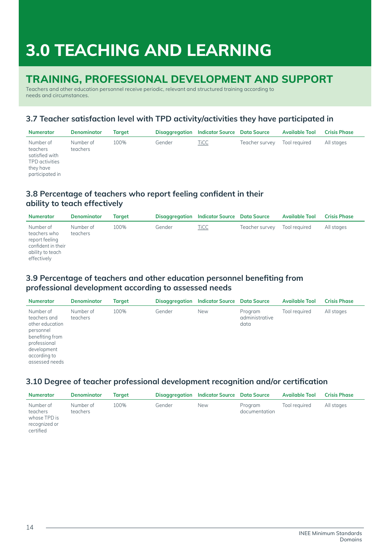# **TRAINING, PROFESSIONAL DEVELOPMENT AND SUPPORT**

Teachers and other education personnel receive periodic, relevant and structured training according to needs and circumstances.

## **3.7 Teacher satisfaction level with TPD activity/activities they have participated in**

| <b>Numerator</b>                                                                          | <b>Denominator</b>    | Taraet |        | Disaggregation Indicator Source Data Source |                | <b>Available Tool</b> | <b>Crisis Phase</b> |
|-------------------------------------------------------------------------------------------|-----------------------|--------|--------|---------------------------------------------|----------------|-----------------------|---------------------|
| Number of<br>teachers<br>satisfied with<br>TPD activities<br>they have<br>participated in | Number of<br>teachers | 100%   | Gender | <b>TiCC</b>                                 | Teacher survey | Tool required         | All stages          |

### **3.8 Percentage of teachers who report feeling confident in their ability to teach effectively**

| <b>Numerator</b>                                                                                     | <b>Denominator</b>    | Taraet |        | Disaggregation Indicator Source Data Source |                | <b>Available Tool</b> | <b>Crisis Phase</b> |
|------------------------------------------------------------------------------------------------------|-----------------------|--------|--------|---------------------------------------------|----------------|-----------------------|---------------------|
| Number of<br>teachers who<br>report feeling<br>confident in their<br>ability to teach<br>effectively | Number of<br>teachers | 100%   | Gender | <b>TiCC</b>                                 | Teacher survey | Tool required         | All stages          |

### **3.9 Percentage of teachers and other education personnel benefiting from professional development according to assessed needs**

| <b>Numerator</b>                                                                                                                              | <b>Denominator</b>    | Target | Disaggregation | <b>Indicator Source</b> Data Source |                                   | <b>Available Tool</b> | <b>Crisis Phase</b> |
|-----------------------------------------------------------------------------------------------------------------------------------------------|-----------------------|--------|----------------|-------------------------------------|-----------------------------------|-----------------------|---------------------|
| Number of<br>teachers and<br>other education<br>personnel<br>benefiting from<br>professional<br>development<br>according to<br>assessed needs | Number of<br>teachers | 100%   | Gender         | <b>New</b>                          | Program<br>administrative<br>data | Tool required         | All stages          |

### **3.10 Degree of teacher professional development recognition and/or certification**

| <b>Numerator</b>                                                    | <b>Denominator</b>    | Taraet |        | Disaggregation Indicator Source Data Source |                          | <b>Available Tool</b> | <b>Crisis Phase</b> |
|---------------------------------------------------------------------|-----------------------|--------|--------|---------------------------------------------|--------------------------|-----------------------|---------------------|
| Number of<br>teachers<br>whose TPD is<br>recognized or<br>certified | Number of<br>teachers | 100%   | Gender | <b>New</b>                                  | Program<br>documentation | Tool reauired         | All stages          |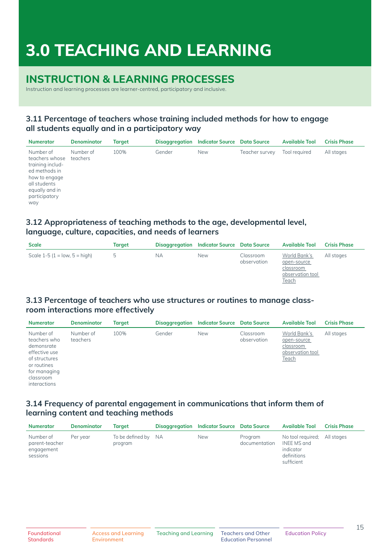## **INSTRUCTION & LEARNING PROCESSES**

Instruction and learning processes are learner-centred, participatory and inclusive.

### **3.11 Percentage of teachers whose training included methods for how to engage all students equally and in a participatory way**

| <b>Numerator</b>                                                                                                                            | <b>Denominator</b>    | Target | Disaggregation | <b>Indicator Source</b> Data Source |                | <b>Available Tool</b> | <b>Crisis Phase</b> |
|---------------------------------------------------------------------------------------------------------------------------------------------|-----------------------|--------|----------------|-------------------------------------|----------------|-----------------------|---------------------|
| Number of<br>teachers whose<br>training includ-<br>ed methods in<br>how to engage<br>all students<br>equally and in<br>participatory<br>way | Number of<br>teachers | 100%   | Gender         | <b>New</b>                          | Teacher survey | Tool required         | All stages          |

### **3.12 Appropriateness of teaching methods to the age, developmental level, language, culture, capacities, and needs of learners**

| <b>Scale</b>                    | Target      |    | <b>Disaggregation</b> Indicator Source Data Source |                          | <b>Available Tool</b>                                                        | <b>Crisis Phase</b> |
|---------------------------------|-------------|----|----------------------------------------------------|--------------------------|------------------------------------------------------------------------------|---------------------|
| Scale $1-5$ (1 = low, 5 = high) | $5^{\circ}$ | NА | <b>New</b>                                         | Classroom<br>observation | World Bank's<br>open-source<br>classroom<br>observation tool<br><u>Teach</u> | All stages          |

### **3.13 Percentage of teachers who use structures or routines to manage classroom interactions more effectively**

| <b>Numerator</b>                                                                                                                      | <b>Denominator</b>    | Target | Disaggregation | <b>Indicator Source</b> Data Source |                          | <b>Available Tool</b>                                                 | <b>Crisis Phase</b> |
|---------------------------------------------------------------------------------------------------------------------------------------|-----------------------|--------|----------------|-------------------------------------|--------------------------|-----------------------------------------------------------------------|---------------------|
| Number of<br>teachers who<br>demonsrate<br>effective use<br>of structures<br>or routines<br>for managing<br>classroom<br>interactions | Number of<br>teachers | 100%   | Gender         | <b>New</b>                          | Classroom<br>observation | World Bank's<br>open-source<br>classroom<br>observation tool<br>Teach | All stages          |

### **3.14 Frequency of parental engagement in communications that inform them of learning content and teaching methods**

| <b>Numerator</b>                                      | <b>Denominator</b> | Taraet                         | Disaggregation Indicator Source Data Source |                          | <b>Available Tool</b>                                                                 | <b>Crisis Phase</b> |
|-------------------------------------------------------|--------------------|--------------------------------|---------------------------------------------|--------------------------|---------------------------------------------------------------------------------------|---------------------|
| Number of<br>parent-teacher<br>engagement<br>sessions | Per vear           | To be defined by NA<br>program | <b>New</b>                                  | Program<br>documentation | No tool required: All stages<br>INEE MS and<br>indicator<br>definitions<br>sufficient |                     |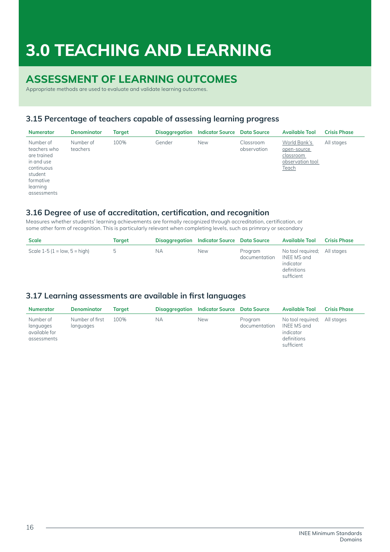## **ASSESSMENT OF LEARNING OUTCOMES**

Appropriate methods are used to evaluate and validate learning outcomes.

### **3.15 Percentage of teachers capable of assessing learning progress**

| <b>Numerator</b>                                                                                                        | <b>Denominator</b>    | Target | Disaggregation | <b>Indicator Source</b> Data Source |                          | <b>Available Tool</b>                                                 | <b>Crisis Phase</b> |
|-------------------------------------------------------------------------------------------------------------------------|-----------------------|--------|----------------|-------------------------------------|--------------------------|-----------------------------------------------------------------------|---------------------|
| Number of<br>teachers who<br>are trained<br>in and use<br>continuous<br>student<br>formative<br>learning<br>assessments | Number of<br>teachers | 100%   | Gender         | <b>New</b>                          | Classroom<br>observation | World Bank's<br>open-source<br>classroom<br>observation tool<br>Teach | All stages          |

#### **3.16 Degree of use of accreditation, certification, and recognition**

Measures whether students' learning achievements are formally recognized through accreditation, certification, or some other form of recognition. This is particularly relevant when completing levels, such as primrary or secondary

| <b>Scale</b>                    | Target |     | Disaggregation Indicator Source Data Source |                          | <b>Available Tool</b>                                                                 | <b>Crisis Phase</b> |
|---------------------------------|--------|-----|---------------------------------------------|--------------------------|---------------------------------------------------------------------------------------|---------------------|
| Scale $1-5$ (1 = low, 5 = high) | b      | NA. | <b>New</b>                                  | Program<br>documentation | No tool required; All stages<br>INEE MS and<br>indicator<br>definitions<br>sufficient |                     |

### **3.17 Learning assessments are available in first languages**

| <b>Numerator</b>                                       | <b>Denominator</b>           | Taraet |    | Disaggregation Indicator Source Data Source |                          | <b>Available Tool</b>                                                                 | <b>Crisis Phase</b> |
|--------------------------------------------------------|------------------------------|--------|----|---------------------------------------------|--------------------------|---------------------------------------------------------------------------------------|---------------------|
| Number of<br>languages<br>available for<br>assessments | Number of first<br>languages | 100%   | NА | <b>New</b>                                  | Program<br>documentation | No tool required; All stages<br>INEE MS and<br>indicator<br>definitions<br>sufficient |                     |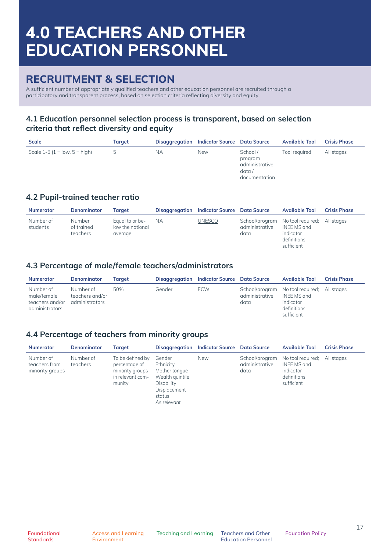## **RECRUITMENT & SELECTION**

A sufficient number of appropriately qualified teachers and other education personnel are recruited through a participatory and transparent process, based on selection criteria reflecting diversity and equity.

### **4.1 Education personnel selection process is transparent, based on selection criteria that reflect diversity and equity**

| <b>Scale</b>                         | Target |    | Disaggregation Indicator Source Data Source |                                                                 | <b>Available Tool</b> | <b>Crisis Phase</b> |
|--------------------------------------|--------|----|---------------------------------------------|-----------------------------------------------------------------|-----------------------|---------------------|
| Scale $1-5$ ( $1 =$ low, $5 =$ high) | b.     | NА | <b>New</b>                                  | School /<br>program<br>administrative<br>data/<br>documentation | Tool required         | All stages          |

### **4.2 Pupil-trained teacher ratio**

| <b>Numerator</b>      | <b>Denominator</b>               | Taraet                                         | Disaggregation | <b>Indicator Source</b> Data Source |                        | <b>Available Tool</b>                                                                                | <b>Crisis Phase</b> |
|-----------------------|----------------------------------|------------------------------------------------|----------------|-------------------------------------|------------------------|------------------------------------------------------------------------------------------------------|---------------------|
| Number of<br>students | Number<br>of trained<br>teachers | Equal to or be-<br>low the national<br>average | <b>NA</b>      | <b>UNESCO</b>                       | administrative<br>data | School/program No tool required; All stages<br>INEE MS and<br>indicator<br>definitions<br>sufficient |                     |

### **4.3 Percentage of male/female teachers/administrators**

| <b>Numerator</b>                                              | <b>Denominator</b>                             | Taraet |        | Disaggregation Indicator Source Data Source |                        | <b>Available Tool</b>                                                                                | <b>Crisis Phase</b> |
|---------------------------------------------------------------|------------------------------------------------|--------|--------|---------------------------------------------|------------------------|------------------------------------------------------------------------------------------------------|---------------------|
| Number of<br>male/female<br>teachers and/or<br>administrators | Number of<br>teachers and/or<br>administrators | 50%    | Gender | <b>ECW</b>                                  | administrative<br>data | School/program No tool required; All stages<br>INEE MS and<br>indicator<br>definitions<br>sufficient |                     |

### **4.4 Percentage of teachers from minority groups**

| <b>Numerator</b>                              | <b>Denominator</b>    | <b>Target</b>                                                                      | Disaggregation                                                                                                 | <b>Indicator Source</b> Data Source |                        | <b>Available Tool</b>                                                                     | <b>Crisis Phase</b> |
|-----------------------------------------------|-----------------------|------------------------------------------------------------------------------------|----------------------------------------------------------------------------------------------------------------|-------------------------------------|------------------------|-------------------------------------------------------------------------------------------|---------------------|
| Number of<br>teachers from<br>minority groups | Number of<br>teachers | To be defined by<br>percentage of<br>minority groups<br>in relevant com-<br>munity | Gender<br>Ethnicity<br>Mother tonque<br>Wealth quintile<br>Disability<br>Displacement<br>status<br>As relevant | <b>New</b>                          | administrative<br>data | School/program No tool required;<br>INEE MS and<br>indicator<br>definitions<br>sufficient | All stages          |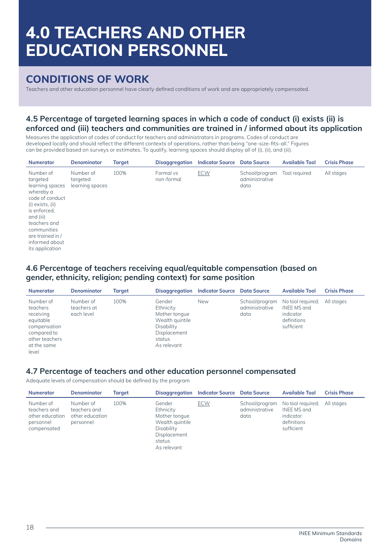## **CONDITIONS OF WORK**

Teachers and other education personnel have clearly defined conditions of work and are appropriately compensated.

### **4.5 Percentage of targeted learning spaces in which a code of conduct (i) exists (ii) is enforced and (iii) teachers and communities are trained in / informed about its application**

Measures the application of codes of conduct for teachers and administrators in programs. Codes of conduct are developed locally and should reflect the different contexts of operations, rather than being "one-size-fits-all." Figures can be provided based on surveys or estimates. To qualify, learning spaces should display all of (i), (ii), and (iii).

| <b>Numerator</b>                                                                                                                                                                                                  | <b>Denominator</b>                       | <b>Target</b> | <b>Disaggregation</b>   | <b>Indicator Source</b> | <b>Data Source</b>                       | <b>Available Tool</b> | <b>Crisis Phase</b> |
|-------------------------------------------------------------------------------------------------------------------------------------------------------------------------------------------------------------------|------------------------------------------|---------------|-------------------------|-------------------------|------------------------------------------|-----------------------|---------------------|
| Number of<br>targeted<br>learning spaces<br>whereby a<br>code of conduct<br>(i) exists, (ii)<br>is enforced.<br>and (iii)<br>teachers and<br>communities<br>are trained in /<br>informed about<br>its application | Number of<br>targeted<br>learning spaces | 100%          | Formal vs<br>non-formal | <b>ECW</b>              | School/program<br>administrative<br>data | Tool required         | All stages          |

#### **4.6 Percentage of teachers receiving equal/equitable compensation (based on gender, ethnicity, religion; pending context) for same position**

| <b>Numerator</b>                                                                                                         | <b>Denominator</b>                     | Target |                                                                                                                | Disaggregation Indicator Source Data Source |                                          | <b>Available Tool</b>                                                      | <b>Crisis Phase</b> |
|--------------------------------------------------------------------------------------------------------------------------|----------------------------------------|--------|----------------------------------------------------------------------------------------------------------------|---------------------------------------------|------------------------------------------|----------------------------------------------------------------------------|---------------------|
| Number of<br>teachers<br>receiving<br>equitable<br>compensation<br>compared to<br>other teachers<br>at the same<br>level | Number of<br>teachers at<br>each level | 100%   | Gender<br>Ethnicity<br>Mother tonque<br>Wealth quintile<br>Disability<br>Displacement<br>status<br>As relevant | <b>New</b>                                  | School/program<br>administrative<br>data | No tool required;<br>INEE MS and<br>indicator<br>definitions<br>sufficient | All stages          |

#### **4.7 Percentage of teachers and other education personnel compensated**

Adequate levels of compensation should be defined by the program

| <b>Numerator</b>                                                         | <b>Denominator</b>                                        | Taraet |                                                                                                                | Disaggregation Indicator Source Data Source |                        | <b>Available Tool</b>                                                                                | <b>Crisis Phase</b> |
|--------------------------------------------------------------------------|-----------------------------------------------------------|--------|----------------------------------------------------------------------------------------------------------------|---------------------------------------------|------------------------|------------------------------------------------------------------------------------------------------|---------------------|
| Number of<br>teachers and<br>other education<br>personnel<br>compensated | Number of<br>teachers and<br>other education<br>personnel | 100%   | Gender<br>Ethnicity<br>Mother tonque<br>Wealth quintile<br>Disability<br>Displacement<br>status<br>As relevant | <b>ECW</b>                                  | administrative<br>data | School/program No tool required: All stages<br>INEE MS and<br>indicator<br>definitions<br>sufficient |                     |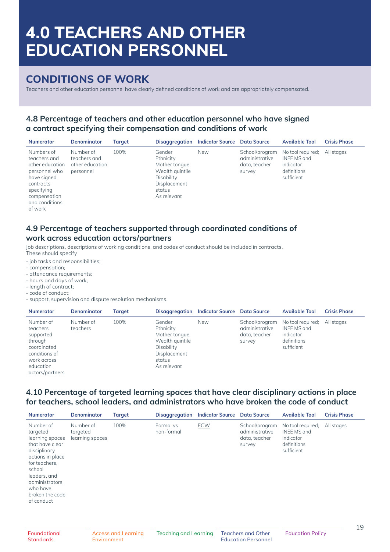## **CONDITIONS OF WORK**

Teachers and other education personnel have clearly defined conditions of work and are appropriately compensated.

### **4.8 Percentage of teachers and other education personnel who have signed a contract specifying their compensation and conditions of work**

| <b>Numerator</b>                                                                                                                                      | <b>Denominator</b>                                        | Target |                                                                                                                | Disaggregation Indicator Source Data Source |                                                             | <b>Available Tool</b>                                                      | <b>Crisis Phase</b> |
|-------------------------------------------------------------------------------------------------------------------------------------------------------|-----------------------------------------------------------|--------|----------------------------------------------------------------------------------------------------------------|---------------------------------------------|-------------------------------------------------------------|----------------------------------------------------------------------------|---------------------|
| Numbers of<br>teachers and<br>other education<br>personnel who<br>have signed<br>contracts<br>specifying<br>compensation<br>and conditions<br>of work | Number of<br>teachers and<br>other education<br>personnel | 100%   | Gender<br>Ethnicity<br>Mother tonque<br>Wealth quintile<br>Disability<br>Displacement<br>status<br>As relevant | <b>New</b>                                  | School/program<br>administrative<br>data, teacher<br>survey | No tool required;<br>INEE MS and<br>indicator<br>definitions<br>sufficient | All stages          |

#### **4.9 Percentage of teachers supported through coordinated conditions of work across education actors/partners**

Job descriptions, descriptions of working conditions, and codes of conduct should be included in contracts. These should specify

- job tasks and responsibilities;
- compensation;
- attendance requirements;
- hours and days of work;
- length of contract;
- code of conduct;
- support, supervision and dispute resolution mechanisms.

| <b>Numerator</b>                                                                                                             | <b>Denominator</b>    | Target | Disaggregation                                                                                                 | <b>Indicator Source</b> Data Source |                                                             | <b>Available Tool</b>                                                                 | <b>Crisis Phase</b> |
|------------------------------------------------------------------------------------------------------------------------------|-----------------------|--------|----------------------------------------------------------------------------------------------------------------|-------------------------------------|-------------------------------------------------------------|---------------------------------------------------------------------------------------|---------------------|
| Number of<br>teachers<br>supported<br>through<br>coordinated<br>conditions of<br>work across<br>education<br>actors/partners | Number of<br>teachers | 100%   | Gender<br>Ethnicity<br>Mother tonque<br>Wealth quintile<br>Disability<br>Displacement<br>status<br>As relevant | <b>New</b>                          | School/program<br>administrative<br>data, teacher<br>survey | No tool required; All stages<br>INEE MS and<br>indicator<br>definitions<br>sufficient |                     |

#### **4.10 Percentage of targeted learning spaces that have clear disciplinary actions in place for teachers, school leaders, and administrators who have broken the code of conduct**

| <b>Numerator</b>                                                                                                                                                                                          | <b>Denominator</b>                       | <b>Target</b> | <b>Disaggregation</b>   | <b>Indicator Source</b> | <b>Data Source</b>                                          | <b>Available Tool</b>                                                      | <b>Crisis Phase</b> |
|-----------------------------------------------------------------------------------------------------------------------------------------------------------------------------------------------------------|------------------------------------------|---------------|-------------------------|-------------------------|-------------------------------------------------------------|----------------------------------------------------------------------------|---------------------|
| Number of<br>targeted<br>learning spaces<br>that have clear<br>disciplinary<br>actions in place<br>for teachers,<br>school<br>leaders, and<br>administrators<br>who have<br>broken the code<br>of conduct | Number of<br>targeted<br>learning spaces | 100%          | Formal vs<br>non-formal | <b>ECW</b>              | School/program<br>administrative<br>data, teacher<br>survey | No tool required;<br>INEE MS and<br>indicator<br>definitions<br>sufficient | All stages          |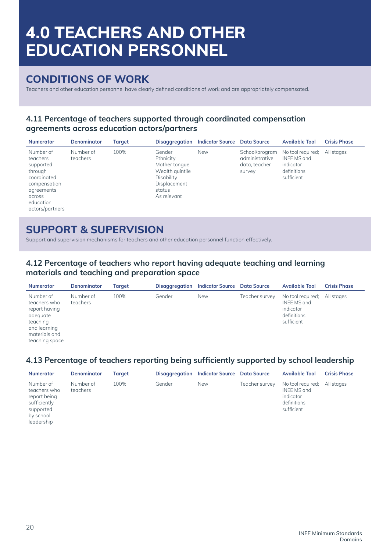## **CONDITIONS OF WORK**

Teachers and other education personnel have clearly defined conditions of work and are appropriately compensated.

### **4.11 Percentage of teachers supported through coordinated compensation agreements across education actors/partners**

| <b>Numerator</b>                                                                                                                     | Denominator           | <b>Target</b> |                                                                                                                | Disaggregation Indicator Source Data Source |                                                             | <b>Available Tool</b>                                                                 | <b>Crisis Phase</b> |
|--------------------------------------------------------------------------------------------------------------------------------------|-----------------------|---------------|----------------------------------------------------------------------------------------------------------------|---------------------------------------------|-------------------------------------------------------------|---------------------------------------------------------------------------------------|---------------------|
| Number of<br>teachers<br>supported<br>through<br>coordinated<br>compensation<br>agreements<br>across<br>education<br>actors/partners | Number of<br>teachers | 100%          | Gender<br>Ethnicity<br>Mother tonque<br>Wealth quintile<br>Disability<br>Displacement<br>status<br>As relevant | <b>New</b>                                  | School/program<br>administrative<br>data, teacher<br>survey | No tool required: All stages<br>INEE MS and<br>indicator<br>definitions<br>sufficient |                     |

## **SUPPORT & SUPERVISION**

Support and supervision mechanisms for teachers and other education personnel function effectively.

### **4.12 Percentage of teachers who report having adequate teaching and learning materials and teaching and preparation space**

| <b>Numerator</b>                                                                                                      | <b>Denominator</b>    | Taraet |        | Disaggregation Indicator Source Data Source |                | <b>Available Tool</b>                                                      | <b>Crisis Phase</b> |
|-----------------------------------------------------------------------------------------------------------------------|-----------------------|--------|--------|---------------------------------------------|----------------|----------------------------------------------------------------------------|---------------------|
| Number of<br>teachers who<br>report having<br>adequate<br>teaching<br>and learning<br>materials and<br>teaching space | Number of<br>teachers | 100%   | Gender | <b>New</b>                                  | Teacher survey | No tool required;<br>INEE MS and<br>indicator<br>definitions<br>sufficient | All stages          |

### **4.13 Percentage of teachers reporting being sufficiently supported by school leadership**

| <b>Numerator</b>                                                                                  | <b>Denominator</b>    | Taraet |        | Disaggregation Indicator Source Data Source |                | <b>Available Tool</b>                                                      | <b>Crisis Phase</b> |
|---------------------------------------------------------------------------------------------------|-----------------------|--------|--------|---------------------------------------------|----------------|----------------------------------------------------------------------------|---------------------|
| Number of<br>teachers who<br>report being<br>sufficiently<br>supported<br>by school<br>leadership | Number of<br>teachers | 100%   | Gender | <b>New</b>                                  | Teacher survey | No tool required;<br>INEE MS and<br>indicator<br>definitions<br>sufficient | All stages          |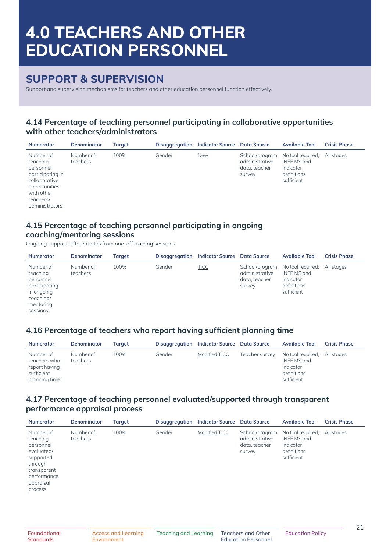## **SUPPORT & SUPERVISION**

Support and supervision mechanisms for teachers and other education personnel function effectively.

### **4.14 Percentage of teaching personnel participating in collaborative opportunities with other teachers/administrators**

| <b>Numerator</b>                                                                                                                      | <b>Denominator</b>    | <b>Target</b> | <b>Disaggregation</b> | <b>Indicator Source</b> Data Source |                                                             | <b>Available Tool</b>                                                      | <b>Crisis Phase</b> |
|---------------------------------------------------------------------------------------------------------------------------------------|-----------------------|---------------|-----------------------|-------------------------------------|-------------------------------------------------------------|----------------------------------------------------------------------------|---------------------|
| Number of<br>teaching<br>personnel<br>participating in<br>collaborative<br>opportunities<br>with other<br>teachers/<br>administrators | Number of<br>teachers | 100%          | Gender                | <b>New</b>                          | School/program<br>administrative<br>data, teacher<br>survey | No tool required;<br>INEE MS and<br>indicator<br>definitions<br>sufficient | All stages          |

#### **4.15 Percentage of teaching personnel participating in ongoing coaching/mentoring sessions**

Ongoing support differentiates from one-off training sessions

| <b>Numerator</b>                                                                                        | <b>Denominator</b>    | Target |        | Disaggregation Indicator Source Data Source |                                           | <b>Available Tool</b>                                                                     | <b>Crisis Phase</b> |
|---------------------------------------------------------------------------------------------------------|-----------------------|--------|--------|---------------------------------------------|-------------------------------------------|-------------------------------------------------------------------------------------------|---------------------|
| Number of<br>teaching<br>personnel<br>participating<br>in ongoing<br>coaching/<br>mentoring<br>sessions | Number of<br>teachers | 100%   | Gender | <b>TiCC</b>                                 | administrative<br>data, teacher<br>survey | School/program No tool required;<br>INEE MS and<br>indicator<br>definitions<br>sufficient | All stages          |

### **4.16 Percentage of teachers who report having sufficient planning time**

| <b>Numerator</b>                                                          | <b>Denominator</b>    | Taraet | <b>Disaggregation</b> | Indicator Source Data Source |                | <b>Available Tool</b>                                                      | <b>Crisis Phase</b> |
|---------------------------------------------------------------------------|-----------------------|--------|-----------------------|------------------------------|----------------|----------------------------------------------------------------------------|---------------------|
| Number of<br>teachers who<br>report having<br>sufficient<br>planning time | Number of<br>teachers | 100%   | Gender                | Modified TiCC                | Teacher survey | No tool required;<br>INEE MS and<br>indicator<br>definitions<br>sufficient | All stages          |

### **4.17 Percentage of teaching personnel evaluated/supported through transparent performance appraisal process**

| <b>Numerator</b>                                                                                                               | <b>Denominator</b>    | Target | Disaggregation | <b>Indicator Source</b> Data Source |                                                             | <b>Available Tool</b>                                                      | <b>Crisis Phase</b> |
|--------------------------------------------------------------------------------------------------------------------------------|-----------------------|--------|----------------|-------------------------------------|-------------------------------------------------------------|----------------------------------------------------------------------------|---------------------|
| Number of<br>teaching<br>personnel<br>evaluated/<br>supported<br>through<br>transparent<br>performance<br>appraisal<br>process | Number of<br>teachers | 100%   | Gender         | Modified TiCC                       | School/program<br>administrative<br>data, teacher<br>survey | No tool required;<br>INEE MS and<br>indicator<br>definitions<br>sufficient | All stages          |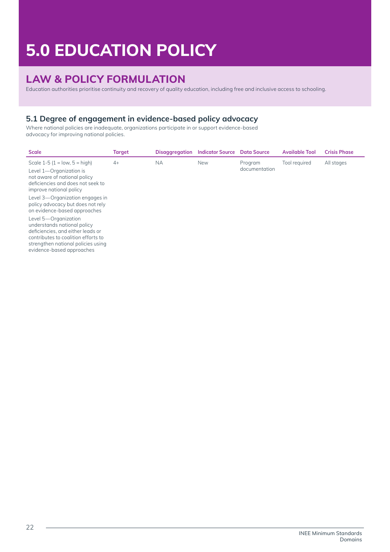# **5.0 EDUCATION POLICY**

# **LAW & POLICY FORMULATION**

Education authorities prioritise continuity and recovery of quality education, including free and inclusive access to schooling.

## **5.1 Degree of engagement in evidence-based policy advocacy**

Where national policies are inadequate, organizations participate in or support evidence-based advocacy for improving national policies.

| <b>Scale</b>                                                                                                                                                                                                                                                                                               | <b>Target</b> | <b>Disaggregation</b> | <b>Indicator Source</b> | <b>Data Source</b>       | <b>Available Tool</b> | <b>Crisis Phase</b> |
|------------------------------------------------------------------------------------------------------------------------------------------------------------------------------------------------------------------------------------------------------------------------------------------------------------|---------------|-----------------------|-------------------------|--------------------------|-----------------------|---------------------|
| Scale $1-5$ ( $1 = low, 5 = high$ )<br>Level 1-Organization is<br>not aware of national policy<br>deficiencies and does not seek to<br>improve national policy                                                                                                                                             | $4+$          | <b>NA</b>             | <b>New</b>              | Program<br>documentation | Tool required         | All stages          |
| Level 3—Organization engages in<br>policy advocacy but does not rely<br>on evidence-based approaches<br>Level 5-Organization<br>understands national policy<br>deficiencies, and either leads or<br>contributes to coalition efforts to<br>strengthen national policies using<br>evidence-based approaches |               |                       |                         |                          |                       |                     |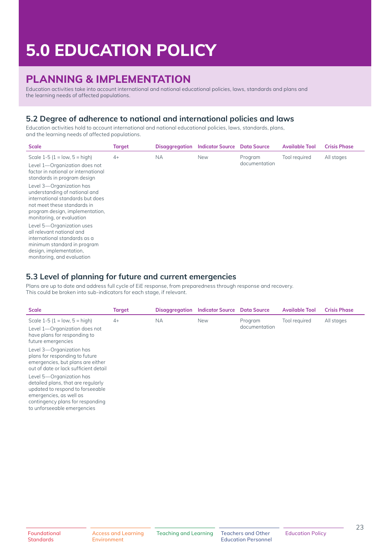# **5.0 EDUCATION POLICY**

## **PLANNING & IMPLEMENTATION**

Education activities take into account international and national educational policies, laws, standards and plans and the learning needs of affected populations.

### **5.2 Degree of adherence to national and international policies and laws**

Education activities hold to account international and national educational policies, laws, standards, plans, and the learning needs of affected populations.

| <b>Scale</b>                                                                                                                                                                                 | <b>Target</b> | <b>Disaggregation</b> | <b>Indicator Source Data Source</b> |                          | <b>Available Tool</b> | <b>Crisis Phase</b> |
|----------------------------------------------------------------------------------------------------------------------------------------------------------------------------------------------|---------------|-----------------------|-------------------------------------|--------------------------|-----------------------|---------------------|
| Scale $1-5$ ( $1 = low, 5 = high$ )<br>Level 1-Organization does not<br>factor in national or international<br>standards in program design                                                   | $4+$          | <b>NA</b>             | <b>New</b>                          | Program<br>documentation | Tool required         | All stages          |
| Level 3-Organization has<br>understanding of national and<br>international standards but does<br>not meet these standards in<br>program design, implementation,<br>monitoring, or evaluation |               |                       |                                     |                          |                       |                     |
| Level 5-Organization uses<br>all relevant national and<br>international standards as a<br>minimum standard in program<br>design, implementation,<br>monitoring, and evaluation               |               |                       |                                     |                          |                       |                     |

#### **5.3 Level of planning for future and current emergencies**

Plans are up to date and address full cycle of EiE response, from preparedness through response and recovery. This could be broken into sub-indicators for each stage, if relevant.

| <b>Scale</b>                                                                                                                                                                                                                              | <b>Target</b> | <b>Disaggregation</b> | <b>Indicator Source</b> | <b>Data Source</b>       | <b>Available Tool</b> | <b>Crisis Phase</b> |
|-------------------------------------------------------------------------------------------------------------------------------------------------------------------------------------------------------------------------------------------|---------------|-----------------------|-------------------------|--------------------------|-----------------------|---------------------|
| Scale $1-5$ ( $1 = low, 5 = high$ )<br>Level 1-Organization does not<br>have plans for responding to<br>future emergencies<br>Level 3-Organization has<br>plans for responding to future<br>emergencies, but plans are either             | $4+$          | <b>NA</b>             | <b>New</b>              | Program<br>documentation | Tool required         | All stages          |
| out of date or lack sufficient detail<br>Level 5-Organization has<br>detailed plans, that are regularly<br>updated to respond to forseeable<br>emergencies, as well as<br>contingency plans for responding<br>to unforseeable emergencies |               |                       |                         |                          |                       |                     |